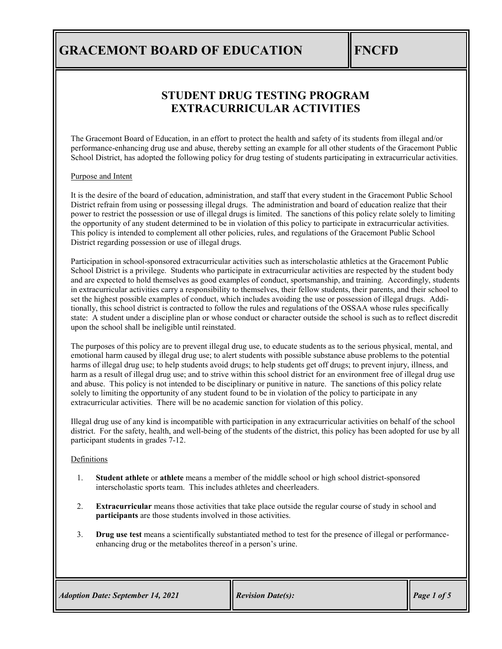# **GRACEMONT BOARD OF EDUCATION FINCFD**

## **STUDENT DRUG TESTING PROGRAM EXTRACURRICULAR ACTIVITIES**

The Gracemont Board of Education, in an effort to protect the health and safety of its students from illegal and/or performance-enhancing drug use and abuse, thereby setting an example for all other students of the Gracemont Public School District, has adopted the following policy for drug testing of students participating in extracurricular activities.

### Purpose and Intent

It is the desire of the board of education, administration, and staff that every student in the Gracemont Public School District refrain from using or possessing illegal drugs. The administration and board of education realize that their power to restrict the possession or use of illegal drugs is limited. The sanctions of this policy relate solely to limiting the opportunity of any student determined to be in violation of this policy to participate in extracurricular activities. This policy is intended to complement all other policies, rules, and regulations of the Gracemont Public School District regarding possession or use of illegal drugs.

Participation in school-sponsored extracurricular activities such as interscholastic athletics at the Gracemont Public School District is a privilege. Students who participate in extracurricular activities are respected by the student body and are expected to hold themselves as good examples of conduct, sportsmanship, and training. Accordingly, students in extracurricular activities carry a responsibility to themselves, their fellow students, their parents, and their school to set the highest possible examples of conduct, which includes avoiding the use or possession of illegal drugs. Additionally, this school district is contracted to follow the rules and regulations of the OSSAA whose rules specifically state: A student under a discipline plan or whose conduct or character outside the school is such as to reflect discredit upon the school shall be ineligible until reinstated.

The purposes of this policy are to prevent illegal drug use, to educate students as to the serious physical, mental, and emotional harm caused by illegal drug use; to alert students with possible substance abuse problems to the potential harms of illegal drug use; to help students avoid drugs; to help students get off drugs; to prevent injury, illness, and harm as a result of illegal drug use; and to strive within this school district for an environment free of illegal drug use and abuse. This policy is not intended to be disciplinary or punitive in nature. The sanctions of this policy relate solely to limiting the opportunity of any student found to be in violation of the policy to participate in any extracurricular activities. There will be no academic sanction for violation of this policy.

Illegal drug use of any kind is incompatible with participation in any extracurricular activities on behalf of the school district. For the safety, health, and well-being of the students of the district, this policy has been adopted for use by all participant students in grades 7-12.

#### Definitions

- 1. **Student athlete** or **athlete** means a member of the middle school or high school district-sponsored interscholastic sports team. This includes athletes and cheerleaders.
- 2. **Extracurricular** means those activities that take place outside the regular course of study in school and **participants** are those students involved in those activities.
- 3. **Drug use test** means a scientifically substantiated method to test for the presence of illegal or performanceenhancing drug or the metabolites thereof in a person's urine.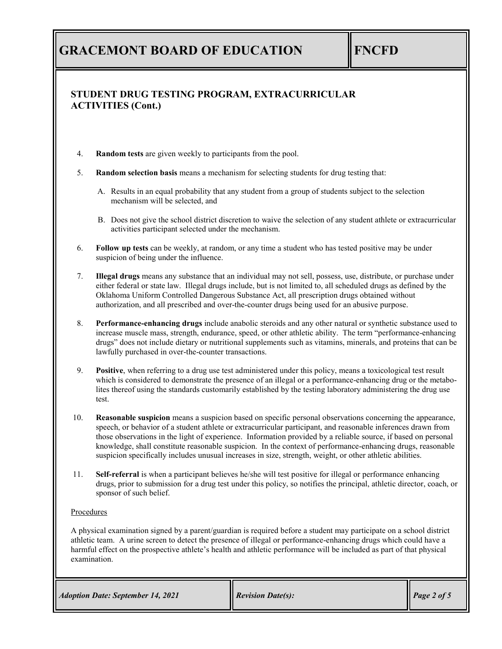# **GRACEMONT BOARD OF EDUCATION FINCFD**

### **STUDENT DRUG TESTING PROGRAM, EXTRACURRICULAR ACTIVITIES (Cont.)**

- 4. **Random tests** are given weekly to participants from the pool.
- 5. **Random selection basis** means a mechanism for selecting students for drug testing that:
	- A. Results in an equal probability that any student from a group of students subject to the selection mechanism will be selected, and
	- B. Does not give the school district discretion to waive the selection of any student athlete or extracurricular activities participant selected under the mechanism.
- 6. **Follow up tests** can be weekly, at random, or any time a student who has tested positive may be under suspicion of being under the influence.
- 7. **Illegal drugs** means any substance that an individual may not sell, possess, use, distribute, or purchase under either federal or state law. Illegal drugs include, but is not limited to, all scheduled drugs as defined by the Oklahoma Uniform Controlled Dangerous Substance Act, all prescription drugs obtained without authorization, and all prescribed and over-the-counter drugs being used for an abusive purpose.
- 8. **Performance-enhancing drugs** include anabolic steroids and any other natural or synthetic substance used to increase muscle mass, strength, endurance, speed, or other athletic ability. The term "performance-enhancing drugs" does not include dietary or nutritional supplements such as vitamins, minerals, and proteins that can be lawfully purchased in over-the-counter transactions.
- 9. **Positive**, when referring to a drug use test administered under this policy, means a toxicological test result which is considered to demonstrate the presence of an illegal or a performance-enhancing drug or the metabolites thereof using the standards customarily established by the testing laboratory administering the drug use test.
- 10. **Reasonable suspicion** means a suspicion based on specific personal observations concerning the appearance, speech, or behavior of a student athlete or extracurricular participant, and reasonable inferences drawn from those observations in the light of experience. Information provided by a reliable source, if based on personal knowledge, shall constitute reasonable suspicion. In the context of performance-enhancing drugs, reasonable suspicion specifically includes unusual increases in size, strength, weight, or other athletic abilities.
- 11. **Self-referral** is when a participant believes he/she will test positive for illegal or performance enhancing drugs, prior to submission for a drug test under this policy, so notifies the principal, athletic director, coach, or sponsor of such belief.

### Procedures

A physical examination signed by a parent/guardian is required before a student may participate on a school district athletic team. A urine screen to detect the presence of illegal or performance-enhancing drugs which could have a harmful effect on the prospective athlete's health and athletic performance will be included as part of that physical examination.

| <b>Adoption Date: September 14, 2021</b> | <b>Revision Date(s):</b> | $\blacksquare$ Page 2 of 5 |
|------------------------------------------|--------------------------|----------------------------|
|------------------------------------------|--------------------------|----------------------------|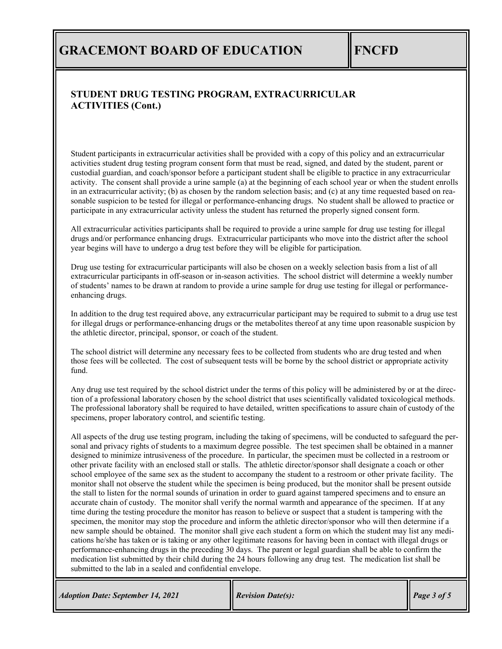## **STUDENT DRUG TESTING PROGRAM, EXTRACURRICULAR ACTIVITIES (Cont.)**

Student participants in extracurricular activities shall be provided with a copy of this policy and an extracurricular activities student drug testing program consent form that must be read, signed, and dated by the student, parent or custodial guardian, and coach/sponsor before a participant student shall be eligible to practice in any extracurricular activity. The consent shall provide a urine sample (a) at the beginning of each school year or when the student enrolls in an extracurricular activity; (b) as chosen by the random selection basis; and (c) at any time requested based on reasonable suspicion to be tested for illegal or performance-enhancing drugs. No student shall be allowed to practice or participate in any extracurricular activity unless the student has returned the properly signed consent form.

All extracurricular activities participants shall be required to provide a urine sample for drug use testing for illegal drugs and/or performance enhancing drugs. Extracurricular participants who move into the district after the school year begins will have to undergo a drug test before they will be eligible for participation.

Drug use testing for extracurricular participants will also be chosen on a weekly selection basis from a list of all extracurricular participants in off-season or in-season activities. The school district will determine a weekly number of students' names to be drawn at random to provide a urine sample for drug use testing for illegal or performanceenhancing drugs.

In addition to the drug test required above, any extracurricular participant may be required to submit to a drug use test for illegal drugs or performance-enhancing drugs or the metabolites thereof at any time upon reasonable suspicion by the athletic director, principal, sponsor, or coach of the student.

The school district will determine any necessary fees to be collected from students who are drug tested and when those fees will be collected. The cost of subsequent tests will be borne by the school district or appropriate activity fund.

Any drug use test required by the school district under the terms of this policy will be administered by or at the direction of a professional laboratory chosen by the school district that uses scientifically validated toxicological methods. The professional laboratory shall be required to have detailed, written specifications to assure chain of custody of the specimens, proper laboratory control, and scientific testing.

All aspects of the drug use testing program, including the taking of specimens, will be conducted to safeguard the personal and privacy rights of students to a maximum degree possible. The test specimen shall be obtained in a manner designed to minimize intrusiveness of the procedure. In particular, the specimen must be collected in a restroom or other private facility with an enclosed stall or stalls. The athletic director/sponsor shall designate a coach or other school employee of the same sex as the student to accompany the student to a restroom or other private facility. The monitor shall not observe the student while the specimen is being produced, but the monitor shall be present outside the stall to listen for the normal sounds of urination in order to guard against tampered specimens and to ensure an accurate chain of custody. The monitor shall verify the normal warmth and appearance of the specimen. If at any time during the testing procedure the monitor has reason to believe or suspect that a student is tampering with the specimen, the monitor may stop the procedure and inform the athletic director/sponsor who will then determine if a new sample should be obtained. The monitor shall give each student a form on which the student may list any medications he/she has taken or is taking or any other legitimate reasons for having been in contact with illegal drugs or performance-enhancing drugs in the preceding 30 days. The parent or legal guardian shall be able to confirm the medication list submitted by their child during the 24 hours following any drug test. The medication list shall be submitted to the lab in a sealed and confidential envelope.

*Adoption Date: September 14, 2021 Revision Date(s): Reprise 14, 2021 Revision Date(s): Page 3 of 5*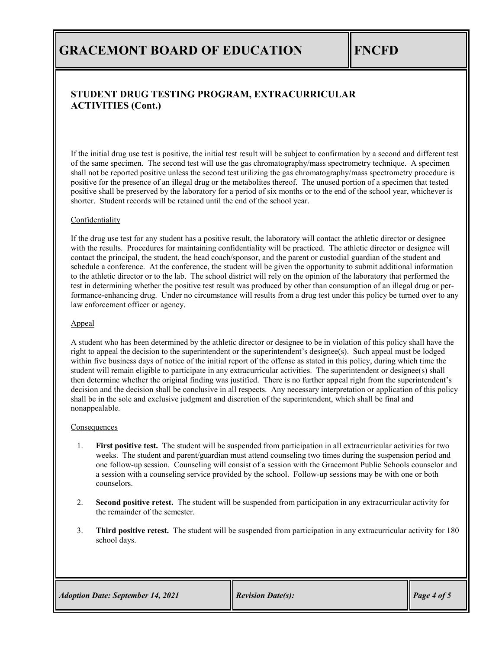## **STUDENT DRUG TESTING PROGRAM, EXTRACURRICULAR ACTIVITIES (Cont.)**

If the initial drug use test is positive, the initial test result will be subject to confirmation by a second and different test of the same specimen. The second test will use the gas chromatography/mass spectrometry technique. A specimen shall not be reported positive unless the second test utilizing the gas chromatography/mass spectrometry procedure is positive for the presence of an illegal drug or the metabolites thereof. The unused portion of a specimen that tested positive shall be preserved by the laboratory for a period of six months or to the end of the school year, whichever is shorter. Student records will be retained until the end of the school year.

### **Confidentiality**

If the drug use test for any student has a positive result, the laboratory will contact the athletic director or designee with the results. Procedures for maintaining confidentiality will be practiced. The athletic director or designee will contact the principal, the student, the head coach/sponsor, and the parent or custodial guardian of the student and schedule a conference. At the conference, the student will be given the opportunity to submit additional information to the athletic director or to the lab. The school district will rely on the opinion of the laboratory that performed the test in determining whether the positive test result was produced by other than consumption of an illegal drug or performance-enhancing drug. Under no circumstance will results from a drug test under this policy be turned over to any law enforcement officer or agency.

### Appeal

A student who has been determined by the athletic director or designee to be in violation of this policy shall have the right to appeal the decision to the superintendent or the superintendent's designee(s). Such appeal must be lodged within five business days of notice of the initial report of the offense as stated in this policy, during which time the student will remain eligible to participate in any extracurricular activities. The superintendent or designee(s) shall then determine whether the original finding was justified. There is no further appeal right from the superintendent's decision and the decision shall be conclusive in all respects. Any necessary interpretation or application of this policy shall be in the sole and exclusive judgment and discretion of the superintendent, which shall be final and nonappealable.

### **Consequences**

- 1. **First positive test.** The student will be suspended from participation in all extracurricular activities for two weeks. The student and parent/guardian must attend counseling two times during the suspension period and one follow-up session. Counseling will consist of a session with the Gracemont Public Schools counselor and a session with a counseling service provided by the school. Follow-up sessions may be with one or both counselors.
- 2. **Second positive retest.** The student will be suspended from participation in any extracurricular activity for the remainder of the semester.
- 3. **Third positive retest.** The student will be suspended from participation in any extracurricular activity for 180 school days.